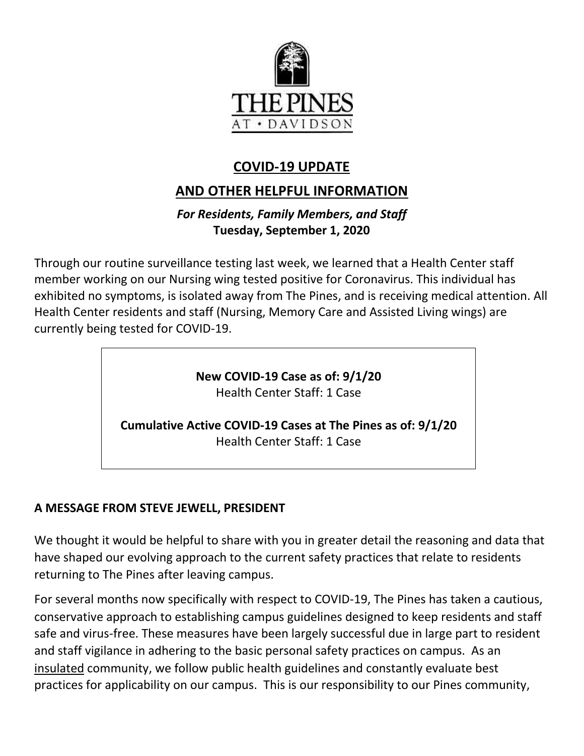

# **COVID-19 UPDATE**

## **AND OTHER HELPFUL INFORMATION**

## *For Residents, Family Members, and Staff* **Tuesday, September 1, 2020**

Through our routine surveillance testing last week, we learned that a Health Center staff member working on our Nursing wing tested positive for Coronavirus. This individual has exhibited no symptoms, is isolated away from The Pines, and is receiving medical attention. All Health Center residents and staff (Nursing, Memory Care and Assisted Living wings) are currently being tested for COVID-19.

> **New COVID-19 Case as of: 9/1/20** Health Center Staff: 1 Case

**Cumulative Active COVID-19 Cases at The Pines as of: 9/1/20** Health Center Staff: 1 Case

## **A MESSAGE FROM STEVE JEWELL, PRESIDENT**

We thought it would be helpful to share with you in greater detail the reasoning and data that have shaped our evolving approach to the current safety practices that relate to residents returning to The Pines after leaving campus.

For several months now specifically with respect to COVID-19, The Pines has taken a cautious, conservative approach to establishing campus guidelines designed to keep residents and staff safe and virus-free. These measures have been largely successful due in large part to resident and staff vigilance in adhering to the basic personal safety practices on campus. As an insulated community, we follow public health guidelines and constantly evaluate best practices for applicability on our campus. This is our responsibility to our Pines community,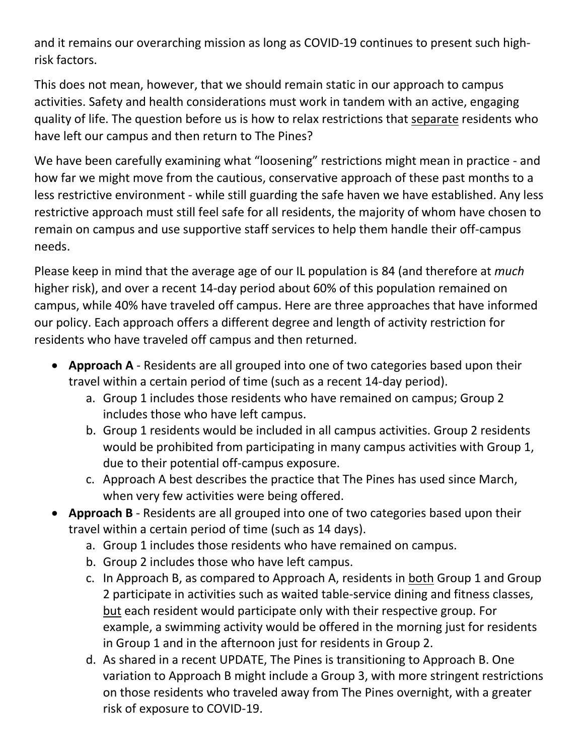and it remains our overarching mission as long as COVID-19 continues to present such highrisk factors.

This does not mean, however, that we should remain static in our approach to campus activities. Safety and health considerations must work in tandem with an active, engaging quality of life. The question before us is how to relax restrictions that separate residents who have left our campus and then return to The Pines?

We have been carefully examining what "loosening" restrictions might mean in practice - and how far we might move from the cautious, conservative approach of these past months to a less restrictive environment - while still guarding the safe haven we have established. Any less restrictive approach must still feel safe for all residents, the majority of whom have chosen to remain on campus and use supportive staff services to help them handle their off-campus needs.

Please keep in mind that the average age of our IL population is 84 (and therefore at *much*  higher risk), and over a recent 14-day period about 60% of this population remained on campus, while 40% have traveled off campus. Here are three approaches that have informed our policy. Each approach offers a different degree and length of activity restriction for residents who have traveled off campus and then returned.

- **Approach A** Residents are all grouped into one of two categories based upon their travel within a certain period of time (such as a recent 14-day period).
	- a. Group 1 includes those residents who have remained on campus; Group 2 includes those who have left campus.
	- b. Group 1 residents would be included in all campus activities. Group 2 residents would be prohibited from participating in many campus activities with Group 1, due to their potential off-campus exposure.
	- c. Approach A best describes the practice that The Pines has used since March, when very few activities were being offered.
- **Approach B** Residents are all grouped into one of two categories based upon their travel within a certain period of time (such as 14 days).
	- a. Group 1 includes those residents who have remained on campus.
	- b. Group 2 includes those who have left campus.
	- c. In Approach B, as compared to Approach A, residents in both Group 1 and Group 2 participate in activities such as waited table-service dining and fitness classes, but each resident would participate only with their respective group. For example, a swimming activity would be offered in the morning just for residents in Group 1 and in the afternoon just for residents in Group 2.
	- d. As shared in a recent UPDATE, The Pines is transitioning to Approach B. One variation to Approach B might include a Group 3, with more stringent restrictions on those residents who traveled away from The Pines overnight, with a greater risk of exposure to COVID-19.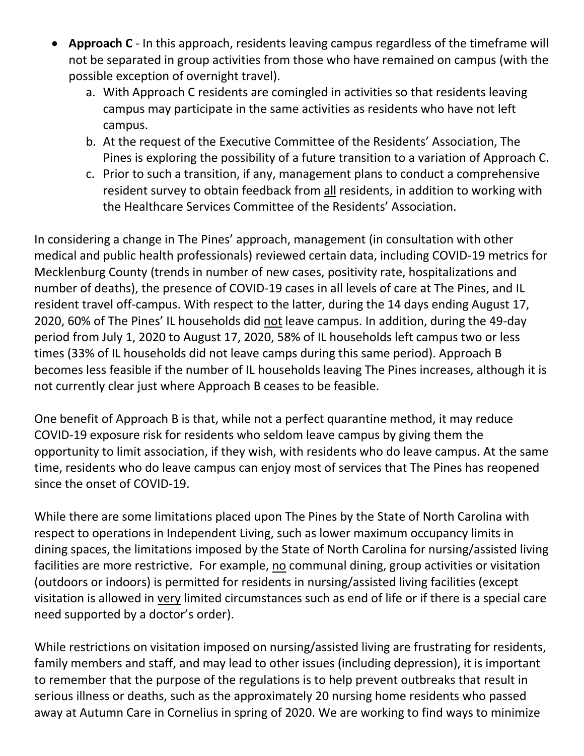- **Approach C** In this approach, residents leaving campus regardless of the timeframe will not be separated in group activities from those who have remained on campus (with the possible exception of overnight travel).
	- a. With Approach C residents are comingled in activities so that residents leaving campus may participate in the same activities as residents who have not left campus.
	- b. At the request of the Executive Committee of the Residents' Association, The Pines is exploring the possibility of a future transition to a variation of Approach C.
	- c. Prior to such a transition, if any, management plans to conduct a comprehensive resident survey to obtain feedback from all residents, in addition to working with the Healthcare Services Committee of the Residents' Association.

In considering a change in The Pines' approach, management (in consultation with other medical and public health professionals) reviewed certain data, including COVID-19 metrics for Mecklenburg County (trends in number of new cases, positivity rate, hospitalizations and number of deaths), the presence of COVID-19 cases in all levels of care at The Pines, and IL resident travel off-campus. With respect to the latter, during the 14 days ending August 17, 2020, 60% of The Pines' IL households did not leave campus. In addition, during the 49-day period from July 1, 2020 to August 17, 2020, 58% of IL households left campus two or less times (33% of IL households did not leave camps during this same period). Approach B becomes less feasible if the number of IL households leaving The Pines increases, although it is not currently clear just where Approach B ceases to be feasible.

One benefit of Approach B is that, while not a perfect quarantine method, it may reduce COVID-19 exposure risk for residents who seldom leave campus by giving them the opportunity to limit association, if they wish, with residents who do leave campus. At the same time, residents who do leave campus can enjoy most of services that The Pines has reopened since the onset of COVID-19.

While there are some limitations placed upon The Pines by the State of North Carolina with respect to operations in Independent Living, such as lower maximum occupancy limits in dining spaces, the limitations imposed by the State of North Carolina for nursing/assisted living facilities are more restrictive. For example, no communal dining, group activities or visitation (outdoors or indoors) is permitted for residents in nursing/assisted living facilities (except visitation is allowed in very limited circumstances such as end of life or if there is a special care need supported by a doctor's order).

While restrictions on visitation imposed on nursing/assisted living are frustrating for residents, family members and staff, and may lead to other issues (including depression), it is important to remember that the purpose of the regulations is to help prevent outbreaks that result in serious illness or deaths, such as the approximately 20 nursing home residents who passed away at Autumn Care in Cornelius in spring of 2020. We are working to find ways to minimize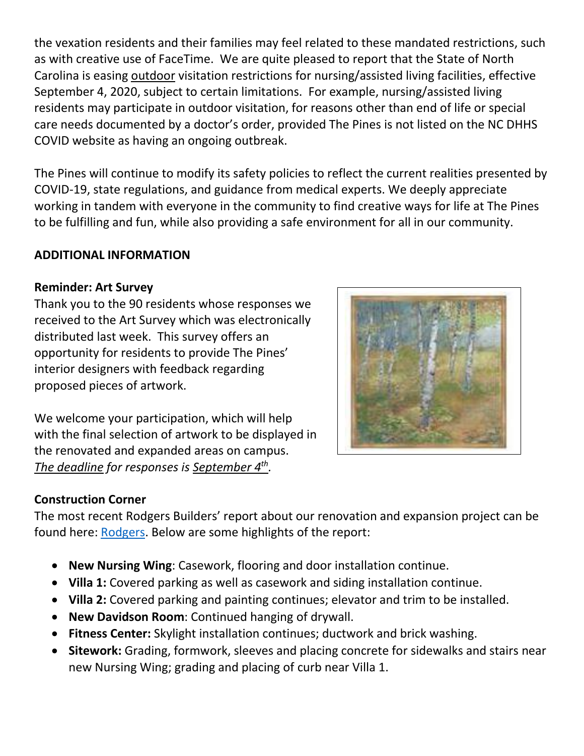the vexation residents and their families may feel related to these mandated restrictions, such as with creative use of FaceTime. We are quite pleased to report that the State of North Carolina is easing outdoor visitation restrictions for nursing/assisted living facilities, effective September 4, 2020, subject to certain limitations. For example, nursing/assisted living residents may participate in outdoor visitation, for reasons other than end of life or special care needs documented by a doctor's order, provided The Pines is not listed on the NC DHHS COVID website as having an ongoing outbreak.

The Pines will continue to modify its safety policies to reflect the current realities presented by COVID-19, state regulations, and guidance from medical experts. We deeply appreciate working in tandem with everyone in the community to find creative ways for life at The Pines to be fulfilling and fun, while also providing a safe environment for all in our community.

#### **ADDITIONAL INFORMATION**

#### **Reminder: Art Survey**

Thank you to the 90 residents whose responses we received to the Art Survey which was electronically distributed last week. This survey offers an opportunity for residents to provide The Pines' interior designers with feedback regarding proposed pieces of artwork.



We welcome your participation, which will help with the final selection of artwork to be displayed in the renovated and expanded areas on campus. *The deadline for responses is September 4th .*

#### **Construction Corner**

The most recent Rodgers Builders' report about our renovation and expansion project can be found here: [Rodgers.](https://www.mycommunity-center.com/filephotos/463/2020-08-28%20Weekly%20Update.pdf) Below are some highlights of the report:

- **New Nursing Wing**: Casework, flooring and door installation continue.
- **Villa 1:** Covered parking as well as casework and siding installation continue.
- **Villa 2:** Covered parking and painting continues; elevator and trim to be installed.
- **New Davidson Room**: Continued hanging of drywall.
- **Fitness Center:** Skylight installation continues; ductwork and brick washing.
- **Sitework:** Grading, formwork, sleeves and placing concrete for sidewalks and stairs near new Nursing Wing; grading and placing of curb near Villa 1.